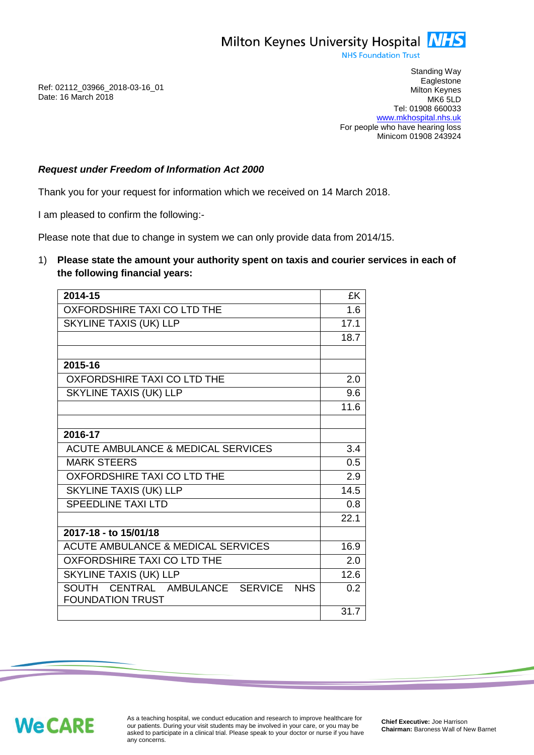Milton Keynes University Hospital **NHS** 

**NHS Foundation Trust** 

Ref: 02112\_03966\_2018-03-16\_01 Date: 16 March 2018

Standing Way **Eaglestone** Milton Keynes MK6 5LD Tel: 01908 660033 [www.mkhospital.nhs.uk](http://www.mkhospital.nhs.uk/) For people who have hearing loss Minicom 01908 243924

## *Request under Freedom of Information Act 2000*

Thank you for your request for information which we received on 14 March 2018.

I am pleased to confirm the following:-

Please note that due to change in system we can only provide data from 2014/15.

1) **Please state the amount your authority spent on taxis and courier services in each of the following financial years:**

| 2014-15                                                                     | £K   |
|-----------------------------------------------------------------------------|------|
| <b>OXFORDSHIRE TAXI CO LTD THE</b>                                          | 1.6  |
| <b>SKYLINE TAXIS (UK) LLP</b>                                               | 17.1 |
|                                                                             | 18.7 |
|                                                                             |      |
| 2015-16                                                                     |      |
| OXFORDSHIRE TAXI CO LTD THE                                                 | 2.0  |
| <b>SKYLINE TAXIS (UK) LLP</b>                                               | 9.6  |
|                                                                             | 11.6 |
|                                                                             |      |
| 2016-17                                                                     |      |
| <b>ACUTE AMBULANCE &amp; MEDICAL SERVICES</b>                               | 3.4  |
| <b>MARK STEERS</b>                                                          | 0.5  |
| OXFORDSHIRE TAXI CO LTD THE                                                 | 2.9  |
| SKYLINE TAXIS (UK) LLP                                                      | 14.5 |
| <b>SPEEDLINE TAXI LTD</b>                                                   | 0.8  |
|                                                                             | 22.1 |
| 2017-18 - to 15/01/18                                                       |      |
| <b>ACUTE AMBULANCE &amp; MEDICAL SERVICES</b>                               | 16.9 |
| OXFORDSHIRE TAXI CO LTD THE                                                 | 2.0  |
| <b>SKYLINE TAXIS (UK) LLP</b>                                               | 12.6 |
| CENTRAL AMBULANCE SERVICE<br>SOUTH<br><b>NHS</b><br><b>FOUNDATION TRUST</b> | 0.2  |
|                                                                             | 31.7 |

**We CARE** 

As a teaching hospital, we conduct education and research to improve healthcare for our patients. During your visit students may be involved in your care, or you may be asked to participate in a clinical trial. Please speak to your doctor or nurse if you have any concerns.

**Chief Executive:** Joe Harrison **Chairman:** Baroness Wall of New Barnet